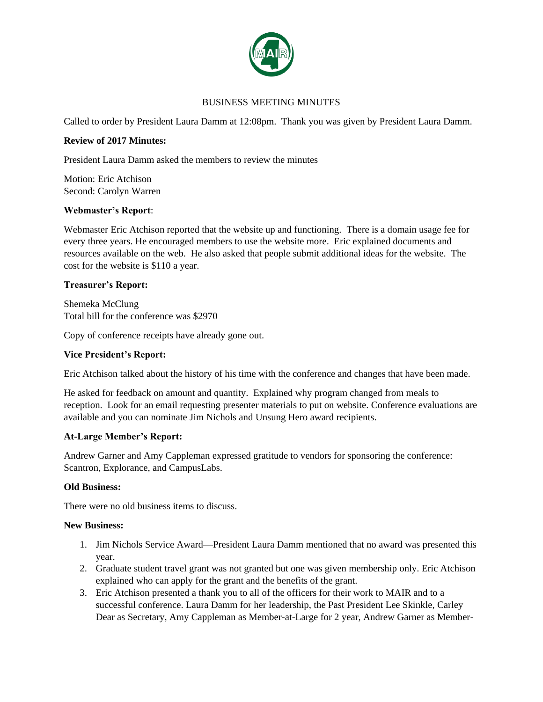

# BUSINESS MEETING MINUTES

Called to order by President Laura Damm at 12:08pm. Thank you was given by President Laura Damm.

## **Review of 2017 Minutes:**

President Laura Damm asked the members to review the minutes

Motion: Eric Atchison Second: Carolyn Warren

#### **Webmaster's Report**:

Webmaster Eric Atchison reported that the website up and functioning. There is a domain usage fee for every three years. He encouraged members to use the website more. Eric explained documents and resources available on the web. He also asked that people submit additional ideas for the website. The cost for the website is \$110 a year.

## **Treasurer's Report:**

Shemeka McClung Total bill for the conference was \$2970

Copy of conference receipts have already gone out.

#### **Vice President's Report:**

Eric Atchison talked about the history of his time with the conference and changes that have been made.

He asked for feedback on amount and quantity. Explained why program changed from meals to reception. Look for an email requesting presenter materials to put on website. Conference evaluations are available and you can nominate Jim Nichols and Unsung Hero award recipients.

#### **At-Large Member's Report:**

Andrew Garner and Amy Cappleman expressed gratitude to vendors for sponsoring the conference: Scantron, Explorance, and CampusLabs.

#### **Old Business:**

There were no old business items to discuss.

#### **New Business:**

- 1. Jim Nichols Service Award—President Laura Damm mentioned that no award was presented this year.
- 2. Graduate student travel grant was not granted but one was given membership only. Eric Atchison explained who can apply for the grant and the benefits of the grant.
- 3. Eric Atchison presented a thank you to all of the officers for their work to MAIR and to a successful conference. Laura Damm for her leadership, the Past President Lee Skinkle, Carley Dear as Secretary, Amy Cappleman as Member-at-Large for 2 year, Andrew Garner as Member-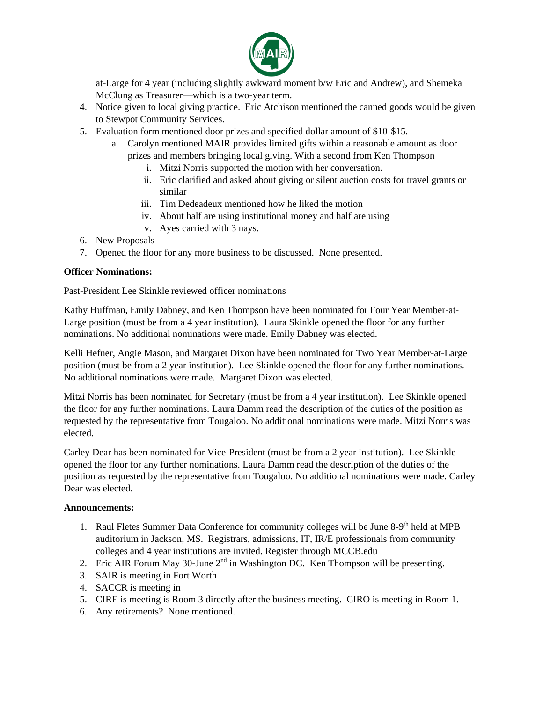

at-Large for 4 year (including slightly awkward moment b/w Eric and Andrew), and Shemeka McClung as Treasurer—which is a two-year term.

- 4. Notice given to local giving practice. Eric Atchison mentioned the canned goods would be given to Stewpot Community Services.
- 5. Evaluation form mentioned door prizes and specified dollar amount of \$10-\$15.
	- a. Carolyn mentioned MAIR provides limited gifts within a reasonable amount as door prizes and members bringing local giving. With a second from Ken Thompson
		- i. Mitzi Norris supported the motion with her conversation.
		- ii. Eric clarified and asked about giving or silent auction costs for travel grants or similar
		- iii. Tim Dedeadeux mentioned how he liked the motion
		- iv. About half are using institutional money and half are using
		- v. Ayes carried with 3 nays.
- 6. New Proposals
- 7. Opened the floor for any more business to be discussed. None presented.

#### **Officer Nominations:**

Past-President Lee Skinkle reviewed officer nominations

Kathy Huffman, Emily Dabney, and Ken Thompson have been nominated for Four Year Member-at-Large position (must be from a 4 year institution). Laura Skinkle opened the floor for any further nominations. No additional nominations were made. Emily Dabney was elected.

Kelli Hefner, Angie Mason, and Margaret Dixon have been nominated for Two Year Member-at-Large position (must be from a 2 year institution). Lee Skinkle opened the floor for any further nominations. No additional nominations were made. Margaret Dixon was elected.

Mitzi Norris has been nominated for Secretary (must be from a 4 year institution). Lee Skinkle opened the floor for any further nominations. Laura Damm read the description of the duties of the position as requested by the representative from Tougaloo. No additional nominations were made. Mitzi Norris was elected.

Carley Dear has been nominated for Vice-President (must be from a 2 year institution). Lee Skinkle opened the floor for any further nominations. Laura Damm read the description of the duties of the position as requested by the representative from Tougaloo. No additional nominations were made. Carley Dear was elected.

#### **Announcements:**

- 1. Raul Fletes Summer Data Conference for community colleges will be June 8-9<sup>th</sup> held at MPB auditorium in Jackson, MS. Registrars, admissions, IT, IR/E professionals from community colleges and 4 year institutions are invited. Register through MCCB.edu
- 2. Eric AIR Forum May 30-June  $2<sup>nd</sup>$  in Washington DC. Ken Thompson will be presenting.
- 3. SAIR is meeting in Fort Worth
- 4. SACCR is meeting in
- 5. CIRE is meeting is Room 3 directly after the business meeting. CIRO is meeting in Room 1.
- 6. Any retirements? None mentioned.